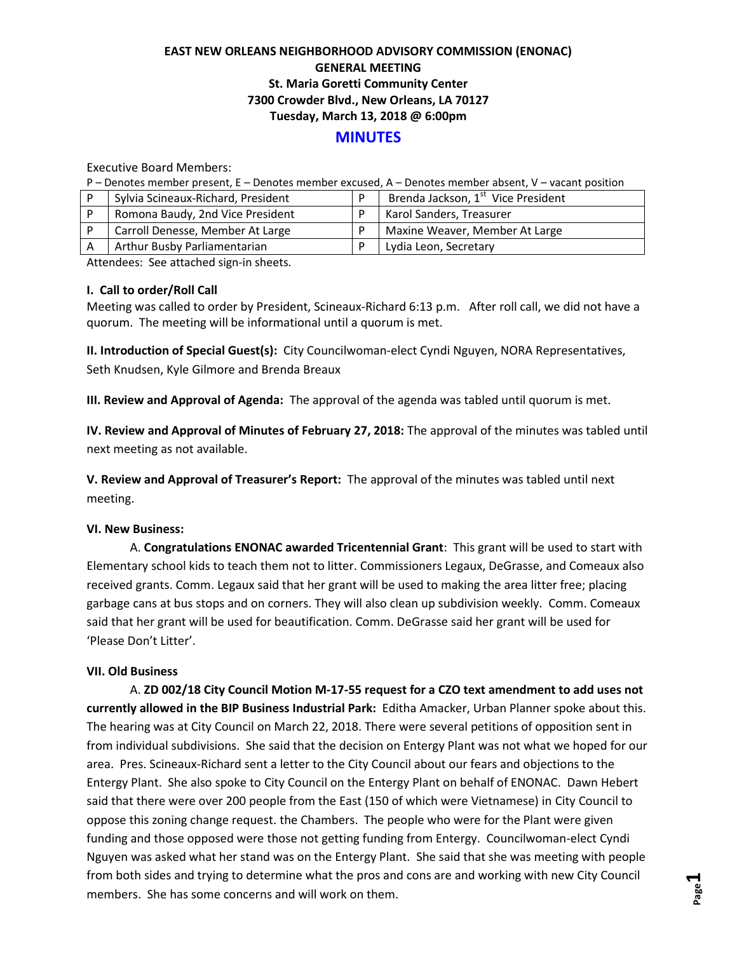# **EAST NEW ORLEANS NEIGHBORHOOD ADVISORY COMMISSION (ENONAC) GENERAL MEETING St. Maria Goretti Community Center 7300 Crowder Blvd., New Orleans, LA 70127 Tuesday, March 13, 2018 @ 6:00pm**

## **MINUTES**

Executive Board Members:

P – Denotes member present, E – Denotes member excused, A – Denotes member absent, V – vacant position

| Sylvia Scineaux-Richard, President | Brenda Jackson, 1 <sup>st</sup> Vice President |
|------------------------------------|------------------------------------------------|
| Romona Baudy, 2nd Vice President   | Karol Sanders, Treasurer                       |
| Carroll Denesse, Member At Large   | Maxine Weaver, Member At Large                 |
| Arthur Busby Parliamentarian       | Lydia Leon, Secretary                          |

Attendees: See attached sign-in sheets.

### **I. Call to order/Roll Call**

Meeting was called to order by President, Scineaux-Richard 6:13 p.m. After roll call, we did not have a quorum. The meeting will be informational until a quorum is met.

**II. Introduction of Special Guest(s):** City Councilwoman-elect Cyndi Nguyen, NORA Representatives, Seth Knudsen, Kyle Gilmore and Brenda Breaux

**III. Review and Approval of Agenda:** The approval of the agenda was tabled until quorum is met.

**IV. Review and Approval of Minutes of February 27, 2018:** The approval of the minutes was tabled until next meeting as not available.

**V. Review and Approval of Treasurer's Report:** The approval of the minutes was tabled until next meeting.

### **VI. New Business:**

A. **Congratulations ENONAC awarded Tricentennial Grant**: This grant will be used to start with Elementary school kids to teach them not to litter. Commissioners Legaux, DeGrasse, and Comeaux also received grants. Comm. Legaux said that her grant will be used to making the area litter free; placing garbage cans at bus stops and on corners. They will also clean up subdivision weekly. Comm. Comeaux said that her grant will be used for beautification. Comm. DeGrasse said her grant will be used for 'Please Don't Litter'.

### **VII. Old Business**

A. **ZD 002/18 City Council Motion M-17-55 request for a CZO text amendment to add uses not currently allowed in the BIP Business Industrial Park:** Editha Amacker, Urban Planner spoke about this. The hearing was at City Council on March 22, 2018. There were several petitions of opposition sent in from individual subdivisions. She said that the decision on Entergy Plant was not what we hoped for our area. Pres. Scineaux-Richard sent a letter to the City Council about our fears and objections to the Entergy Plant. She also spoke to City Council on the Entergy Plant on behalf of ENONAC. Dawn Hebert said that there were over 200 people from the East (150 of which were Vietnamese) in City Council to oppose this zoning change request. the Chambers. The people who were for the Plant were given funding and those opposed were those not getting funding from Entergy. Councilwoman-elect Cyndi Nguyen was asked what her stand was on the Entergy Plant. She said that she was meeting with people from both sides and trying to determine what the pros and cons are and working with new City Council members. She has some concerns and will work on them.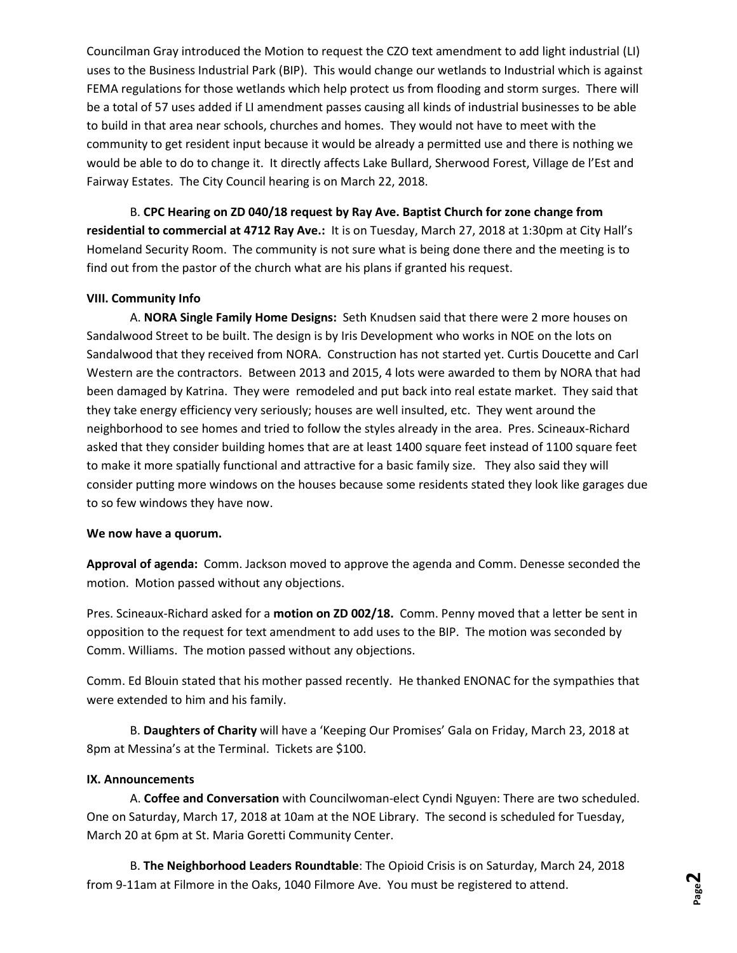Councilman Gray introduced the Motion to request the CZO text amendment to add light industrial (LI) uses to the Business Industrial Park (BIP). This would change our wetlands to Industrial which is against FEMA regulations for those wetlands which help protect us from flooding and storm surges. There will be a total of 57 uses added if LI amendment passes causing all kinds of industrial businesses to be able to build in that area near schools, churches and homes. They would not have to meet with the community to get resident input because it would be already a permitted use and there is nothing we would be able to do to change it. It directly affects Lake Bullard, Sherwood Forest, Village de l'Est and Fairway Estates. The City Council hearing is on March 22, 2018.

B. **CPC Hearing on ZD 040/18 request by Ray Ave. Baptist Church for zone change from residential to commercial at 4712 Ray Ave.:** It is on Tuesday, March 27, 2018 at 1:30pm at City Hall's Homeland Security Room. The community is not sure what is being done there and the meeting is to find out from the pastor of the church what are his plans if granted his request.

### **VIII. Community Info**

A. **NORA Single Family Home Designs:** Seth Knudsen said that there were 2 more houses on Sandalwood Street to be built. The design is by Iris Development who works in NOE on the lots on Sandalwood that they received from NORA. Construction has not started yet. Curtis Doucette and Carl Western are the contractors. Between 2013 and 2015, 4 lots were awarded to them by NORA that had been damaged by Katrina. They were remodeled and put back into real estate market. They said that they take energy efficiency very seriously; houses are well insulted, etc. They went around the neighborhood to see homes and tried to follow the styles already in the area. Pres. Scineaux-Richard asked that they consider building homes that are at least 1400 square feet instead of 1100 square feet to make it more spatially functional and attractive for a basic family size. They also said they will consider putting more windows on the houses because some residents stated they look like garages due to so few windows they have now.

### **We now have a quorum.**

**Approval of agenda:** Comm. Jackson moved to approve the agenda and Comm. Denesse seconded the motion. Motion passed without any objections.

Pres. Scineaux-Richard asked for a **motion on ZD 002/18.** Comm. Penny moved that a letter be sent in opposition to the request for text amendment to add uses to the BIP. The motion was seconded by Comm. Williams. The motion passed without any objections.

Comm. Ed Blouin stated that his mother passed recently. He thanked ENONAC for the sympathies that were extended to him and his family.

B. **Daughters of Charity** will have a 'Keeping Our Promises' Gala on Friday, March 23, 2018 at 8pm at Messina's at the Terminal. Tickets are \$100.

### **IX. Announcements**

A. **Coffee and Conversation** with Councilwoman-elect Cyndi Nguyen: There are two scheduled. One on Saturday, March 17, 2018 at 10am at the NOE Library. The second is scheduled for Tuesday, March 20 at 6pm at St. Maria Goretti Community Center.

B. **The Neighborhood Leaders Roundtable**: The Opioid Crisis is on Saturday, March 24, 2018 from 9-11am at Filmore in the Oaks, 1040 Filmore Ave. You must be registered to attend.